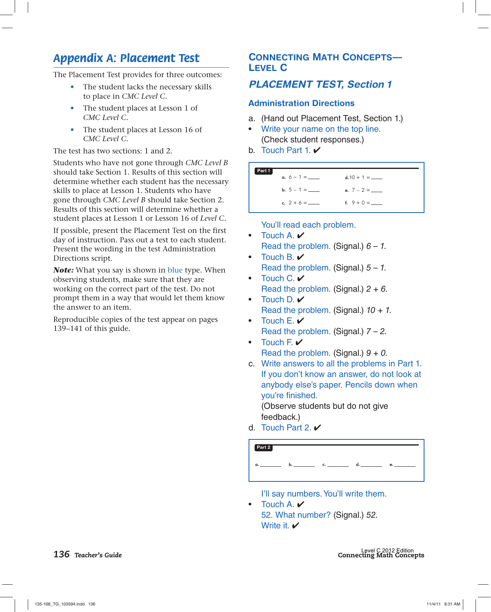# *Appendix A: Placement Test*

The Placement Test provides for three outcomes:

- The student lacks the necessary skills to place in *CMC Level C.*
- The student places at Lesson 1 of *CMC Level C.*
- The student places at Lesson 16 of *CMC Level C.*

The test has two sections: 1 and 2.

Students who have not gone through *CMC Level B*  should take Section 1. Results of this section will determine whether each student has the necessary skills to place at Lesson 1. Students who have gone through *CMC Level B* should take Section 2. Results of this section will determine whether a student places at Lesson 1 or Lesson 16 of *Level C.*

If possible, present the Placement Test on the first day of instruction. Pass out a test to each student. Present the wording in the test Administration Directions script.

*Note:* What you say is shown in blue type. When observing students, make sure that they are working on the correct part of the test. Do not prompt them in a way that would let them know the answer to an item.

Reproducible copies of the test appear on pages 139–141 of this guide.

### **CONNECTING MATH CONCEPTS— LEVEL C**

# *PLACEMENT TEST, Section 1*

### **Administration Directions**

- a. (Hand out Placement Test, Section 1.)
- Write your name on the top line. (Check student responses.)
- b. Touch Part 1.  $\vee$



You'll read each problem.

- Touch A. ✔ Read the problem. (Signal.)  $6 - 1$ .
- Touch B.  $\vee$ Read the problem. (Signal.)  $5 - 1$ .
- Touch  $C.$   $V$ Read the problem. (Signal.)  $2 + 6$ .
- Touch D.  $\vee$ Read the problem. (Signal.)  $10 + 1$ .
- Touch  $E. V$ Read the problem. (Signal.)  $7 - 2$ .
- Touch F.  $\vee$ Read the problem. (Signal.)  $9 + 0$ .
- c. Write answers to all the problems in Part 1. If you don't know an answer, do not look at anybody else's paper. Pencils down when you're finished.

 (Observe students but do not give feedback.)

d. Touch Part 2.  $\vee$ 



I'll say numbers. You'll write them.

• Touch A. ✔ 52. What number? (Signal.) 52. Write it.  $\checkmark$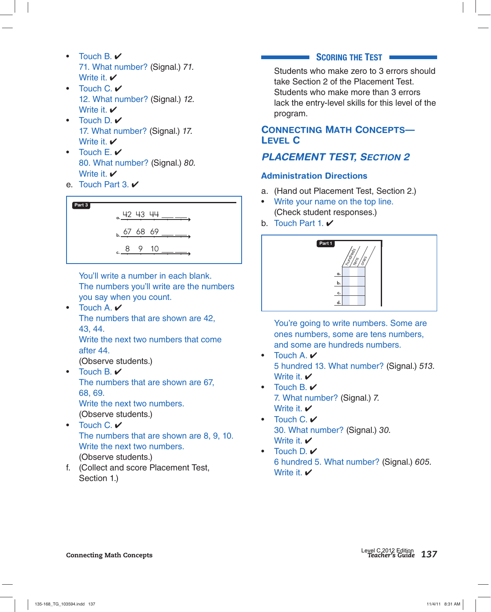- Touch B.  $\vee$ 71. What number? (Signal.) 71. Write it.  $\checkmark$
- Touch  $C \vee$ 12. What number? (Signal.) 12. Write it.  $\checkmark$
- Touch  $D. V$ 17. What number? (Signal.) 17. Write it.
- Touch  $E \times$ 80. What number? (Signal.) 80. Write it.  $\boldsymbol{\nu}$
- e. Touch Part 3.  $\vee$



You'll write a number in each blank. The numbers you'll write are the numbers you say when you count.

• Touch A.  $\vee$ The numbers that are shown are 42, 43, 44.

Write the next two numbers that come after 44.

- (Observe students.)
- Touch B.  $\vee$ The numbers that are shown are 67, 68, 69. Write the next two numbers.

(Observe students.)

- Touch  $C \prime \prime$ The numbers that are shown are 8, 9, 10. Write the next two numbers. (Observe students.)
- f. (Collect and score Placement Test, Section 1.)

### **SCORING THE TEST**  $\blacksquare$

 Students who make zero to 3 errors should take Section 2 of the Placement Test. Students who make more than 3 errors lack the entry-level skills for this level of the program.

# **CONNECTING MATH CONCEPTS— LEVEL C**

# *PLACEMENT TEST, SECTION 2*

# **Administration Directions**

- a. (Hand out Placement Test, Section 2.)
- Write your name on the top line. (Check student responses.)
- b. Touch Part 1.  $\vee$



 You're going to write numbers. Some are ones numbers, some are tens numbers, and some are hundreds numbers.

- Touch A. 5 hundred 13. What number? (Signal.) 513. Write it.  $\checkmark$
- Touch B. ✔ 7. What number? (Signal.) 7. Write it.  $\checkmark$
- Touch  $C. V$ 30. What number? (Signal.) 30. Write it.  $\checkmark$
- Touch  $D.$   $V$ 6 hundred 5. What number? (Signal.) 605. Write it.  $\boldsymbol{\nu}$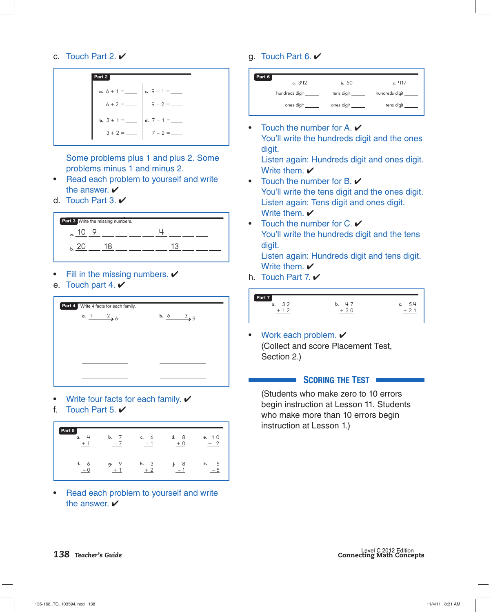c. Touch Part 2.  $\vee$ 

| Part 2                                                           |                                                        |  |
|------------------------------------------------------------------|--------------------------------------------------------|--|
|                                                                  |                                                        |  |
|                                                                  | $6 + 2 =$ $\begin{array}{ c c }$ 9 – 2 = $\end{array}$ |  |
| <b>b.</b> $3 + 1 =$ $\_\_\_\_\_\_\_\_\_\_\_$ <b>d.</b> $7 - 1 =$ |                                                        |  |
|                                                                  |                                                        |  |

 Some problems plus 1 and plus 2. Some problems minus 1 and minus 2.

- Read each problem to yourself and write the answer.  $\checkmark$
- d. Touch Part 3.  $\vee$



- Fill in the missing numbers.  $\checkmark$
- e. Touch part 4.  $\vee$



- Write four facts for each family.  $\checkmark$
- f. Touch Part  $5. *V*$



• Read each problem to yourself and write the answer.  $\checkmark$ 

### q. Touch Part 6.  $\vee$

| Part 6 | a. 342                | b. 50             | c. 417                |
|--------|-----------------------|-------------------|-----------------------|
|        | hundreds digit ______ | tens digit        | hundreds digit ______ |
|        | ones digit ______     | ones digit ______ | tens digit ______     |

• Touch the number for A.  $\vee$ You'll write the hundreds digit and the ones digit.

 Listen again: Hundreds digit and ones digit. Write them.  $\checkmark$ 

- Touch the number for B.  $\vee$ You'll write the tens digit and the ones digit. Listen again: Tens digit and ones digit. Write them.
- Touch the number for  $C \times$  You'll write the hundreds digit and the tens digit.

 Listen again: Hundreds digit and tens digit. Write them.  $\checkmark$ 

h. Touch Part  $7. *V*$ 

| Part 7<br>つつ |    |    |
|--------------|----|----|
| a.           | b. | c. |
|              |    |    |

Work each problem.  $\checkmark$  (Collect and score Placement Test, Section 2.)

#### **SCORING THE TEST**

 (Students who make zero to 10 errors begin instruction at Lesson 11. Students who make more than 10 errors begin instruction at Lesson 1.)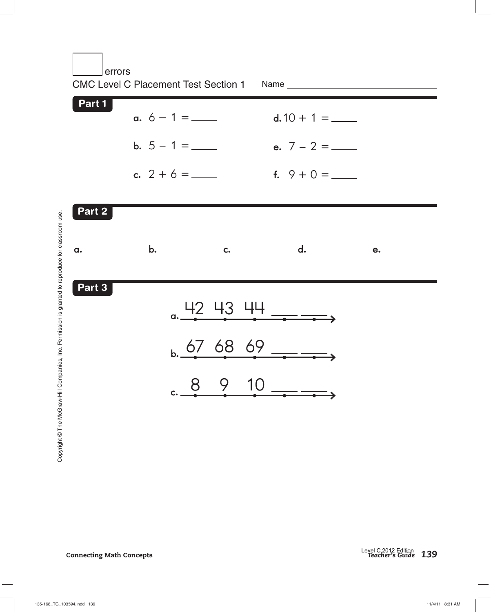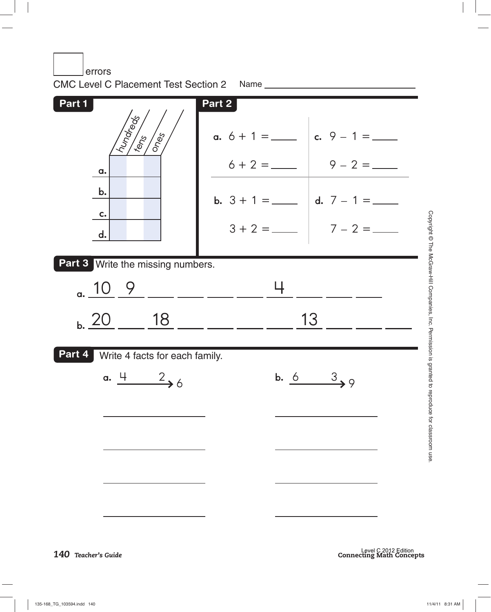errors

| Part 1<br><b>RISTER</b><br>Jesse<br>a.<br>b.<br>c.<br>d.    | Part 2<br>a. $6 + 1 =$ ________   c. 9 - 1 = ______<br>$6 + 2 =$ $\begin{array}{ c c } \hline 9 - 2 = \end{array}$<br><b>b.</b> $3 + 1 =$ ______   <b>d.</b> $7 - 1 =$ ______<br>$3 + 2 =$ 7 - 2 = |  |  |
|-------------------------------------------------------------|----------------------------------------------------------------------------------------------------------------------------------------------------------------------------------------------------|--|--|
| <b>Part 3</b> Write the missing numbers.                    |                                                                                                                                                                                                    |  |  |
| a. 10 9                                                     |                                                                                                                                                                                                    |  |  |
| $\frac{1}{20}$ 18                                           | 13                                                                                                                                                                                                 |  |  |
| Part 4 Write 4 facts for each family.<br>a. $\frac{4}{2}$ 6 | <b>b.</b> $6 \t 3$                                                                                                                                                                                 |  |  |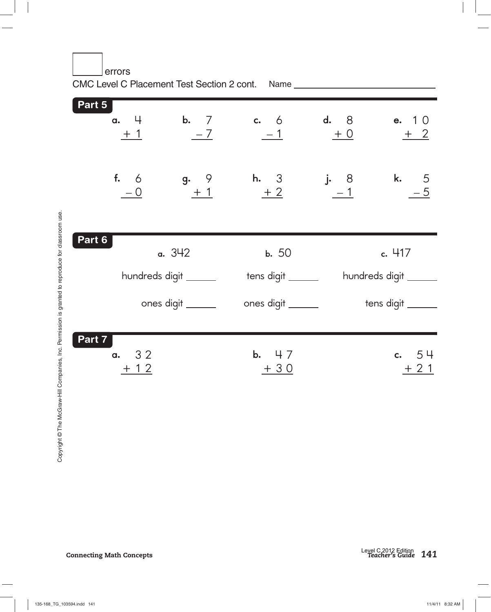|        | errors         |                                                      | CMC Level C Placement Test Section 2 cont. Name ________________________________ |       |                             |
|--------|----------------|------------------------------------------------------|----------------------------------------------------------------------------------|-------|-----------------------------|
| Part 5 | $+1$           | $-7$                                                 | a. 4 b. 7 c. 6 d. 8<br>$-1$                                                      | $+$ 0 | e. 10<br>$+2$               |
|        |                |                                                      | f. 6 g. 9 h. 3 j. 8 k. 5<br>- 1 - 1 $-5$                                         |       |                             |
| Part 6 |                | a. 342<br>hundreds digit ______<br>ones digit ______ | b. 50<br>ones digit ______                                                       |       | c. 417<br>tens digit ______ |
| Part 7 | a. 32<br>$+12$ |                                                      | b. 47<br>$+30$                                                                   |       | c. $54$<br>$+21$            |